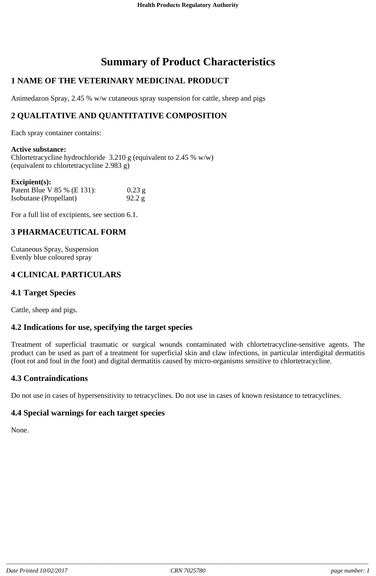# **Summary of Product Characteristics**

# **1 NAME OF THE VETERINARY MEDICINAL PRODUCT**

Animedazon Spray, 2.45 % w/w cutaneous spray suspension for cattle, sheep and pigs

# **2 QUALITATIVE AND QUANTITATIVE COMPOSITION**

Each spray container contains:

**Active substance:** Chlortetracycline hydrochloride  $3.210 \text{ g}$  (equivalent to 2.45 % w/w) (equivalent to chlortetracycline 2.983 g)

| $\mathbf{Excipient}(s)$ :   |          |
|-----------------------------|----------|
| Patent Blue V 85 % (E 131): | $0.23$ g |
| Isobutane (Propellant)      | 92.2 g   |

For a full list of excipients, see section 6.1.

#### **3 PHARMACEUTICAL FORM**

Cutaneous Spray, Suspension Evenly blue coloured spray

# **4 CLINICAL PARTICULARS**

## **4.1 Target Species**

Cattle, sheep and pigs.

#### **4.2 Indications for use, specifying the target species**

Treatment of superficial traumatic or surgical wounds contaminated with chlortetracycline-sensitive agents. The product can be used as part of a treatment for superficial skin and claw infections, in particular interdigital dermatitis (foot rot and foul in the foot) and digital dermatitis caused by micro-organisms sensitive to chlortetracycline.

## **4.3 Contraindications**

Do not use in cases of hypersensitivity to tetracyclines. Do not use in cases of known resistance to tetracyclines.

## **4.4 Special warnings for each target species**

None.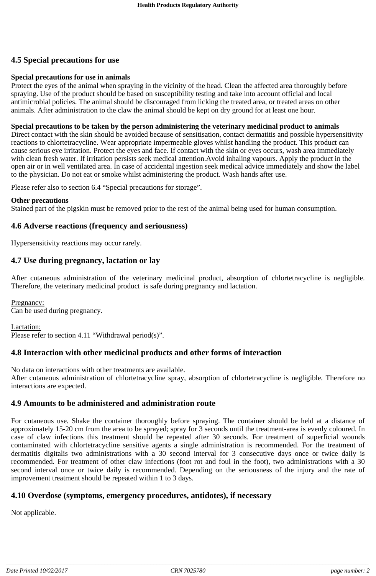# **4.5 Special precautions for use**

#### **Special precautions for use in animals**

Protect the eyes of the animal when spraying in the vicinity of the head. Clean the affected area thoroughly before spraying. Use of the product should be based on susceptibility testing and take into account official and local antimicrobial policies. The animal should be discouraged from licking the treated area, or treated areas on other animals. After administration to the claw the animal should be kept on dry ground for at least one hour.

#### **Special precautions to be taken by the person administering the veterinary medicinal product to animals**

Direct contact with the skin should be avoided because of sensitisation, contact dermatitis and possible hypersensitivity reactions to chlortetracycline. Wear appropriate impermeable gloves whilst handling the product. This product can cause serious eye irritation. Protect the eyes and face. If contact with the skin or eyes occurs, wash area immediately with clean fresh water. If irritation persists seek medical attention.Avoid inhaling vapours. Apply the product in the open air or in well ventilated area. In case of accidental ingestion seek medical advice immediately and show the label to the physician. Do not eat or smoke whilst administering the product. Wash hands after use.

Please refer also to section 6.4 "Special precautions for storage".

#### **Other precautions**

Stained part of the pigskin must be removed prior to the rest of the animal being used for human consumption.

#### **4.6 Adverse reactions (frequency and seriousness)**

Hypersensitivity reactions may occur rarely.

#### **4.7 Use during pregnancy, lactation or lay**

After cutaneous administration of the veterinary medicinal product, absorption of chlortetracycline is negligible. Therefore, the veterinary medicinal product is safe during pregnancy and lactation.

Pregnancy: Can be used during pregnancy.

Lactation: Please refer to section 4.11 "Withdrawal period(s)".

#### **4.8 Interaction with other medicinal products and other forms of interaction**

No data on interactions with other treatments are available.

After cutaneous administration of chlortetracycline spray, absorption of chlortetracycline is negligible. Therefore no interactions are expected.

#### **4.9 Amounts to be administered and administration route**

For cutaneous use. Shake the container thoroughly before spraying. The container should be held at a distance of approximately 15-20 cm from the area to be sprayed; spray for 3 seconds until the treatment-area is evenly coloured. In case of claw infections this treatment should be repeated after 30 seconds. For treatment of superficial wounds contaminated with chlortetracycline sensitive agents a single administration is recommended. For the treatment of dermatitis digitalis two administrations with a 30 second interval for 3 consecutive days once or twice daily is recommended. For treatment of other claw infections (foot rot and foul in the foot), two administrations with a 30 second interval once or twice daily is recommended. Depending on the seriousness of the injury and the rate of improvement treatment should be repeated within 1 to 3 days.

#### **4.10 Overdose (symptoms, emergency procedures, antidotes), if necessary**

Not applicable.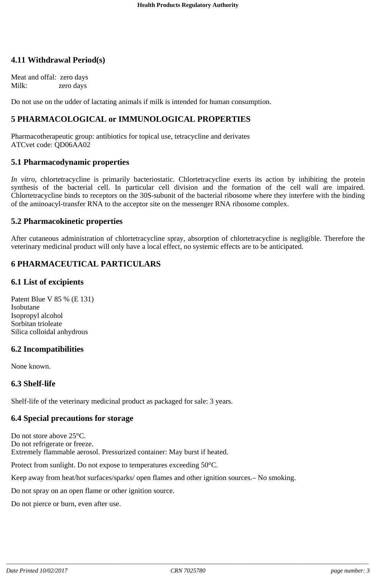### **4.11 Withdrawal Period(s)**

Meat and offal: zero days Milk: zero days

Do not use on the udder of lactating animals if milk is intended for human consumption.

#### **5 PHARMACOLOGICAL or IMMUNOLOGICAL PROPERTIES**

Pharmacotherapeutic group: antibiotics for topical use, tetracycline and derivates ATCvet code: QD06AA02

#### **5.1 Pharmacodynamic properties**

*In vitro,* chlortetracycline is primarily bacteriostatic. Chlortetracycline exerts its action by inhibiting the protein synthesis of the bacterial cell. In particular cell division and the formation of the cell wall are impaired. Chlortetracycline binds to receptors on the 30S-subunit of the bacterial ribosome where they interfere with the binding of the aminoacyl-transfer RNA to the acceptor site on the messenger RNA ribosome complex.

#### **5.2 Pharmacokinetic properties**

After cutaneous administration of chlortetracycline spray, absorption of chlortetracycline is negligible. Therefore the veterinary medicinal product will only have a local effect, no systemic effects are to be anticipated.

## **6 PHARMACEUTICAL PARTICULARS**

#### **6.1 List of excipients**

Patent Blue V 85 % (E 131) Isobutane Isopropyl alcohol Sorbitan trioleate Silica colloidal anhydrous

#### **6.2 Incompatibilities**

None known.

#### **6.3 Shelf-life**

Shelf-life of the veterinary medicinal product as packaged for sale: 3 years.

#### **6.4 Special precautions for storage**

Do not store above 25°C. Do not refrigerate or freeze. Extremely flammable aerosol. Pressurized container: May burst if heated.

Protect from sunlight. Do not expose to temperatures exceeding 50°C.

Keep away from heat/hot surfaces/sparks/ open flames and other ignition sources.– No smoking.

Do not spray on an open flame or other ignition source.

Do not pierce or burn, even after use.